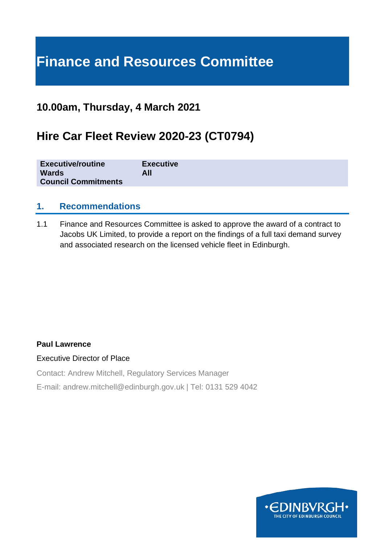# **Finance and Resources Committee**

### **10.00am, Thursday, 4 March 2021**

# **Hire Car Fleet Review 2020-23 (CT0794)**

| <b>Executive/routine</b>   | <b>Executive</b> |
|----------------------------|------------------|
| <b>Wards</b>               | All              |
| <b>Council Commitments</b> |                  |

#### **1. Recommendations**

1.1 Finance and Resources Committee is asked to approve the award of a contract to Jacobs UK Limited, to provide a report on the findings of a full taxi demand survey and associated research on the licensed vehicle fleet in Edinburgh.

#### **Paul Lawrence**

#### Executive Director of Place

Contact: Andrew Mitchell, Regulatory Services Manager

E-mail: andrew.mitchell@edinburgh.gov.uk | Tel: 0131 529 4042

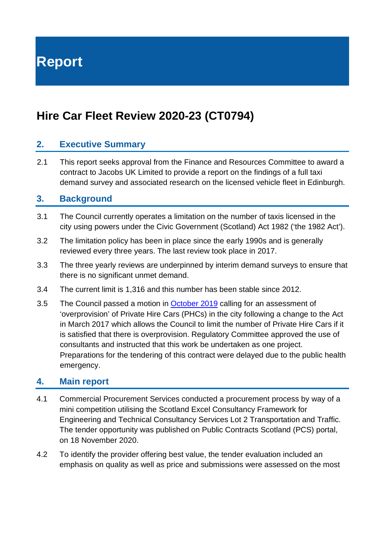**Report**

# **Hire Car Fleet Review 2020-23 (CT0794)**

#### **2. Executive Summary**

2.1 This report seeks approval from the Finance and Resources Committee to award a contract to Jacobs UK Limited to provide a report on the findings of a full taxi demand survey and associated research on the licensed vehicle fleet in Edinburgh.

#### **3. Background**

- 3.1 The Council currently operates a limitation on the number of taxis licensed in the city using powers under the Civic Government (Scotland) Act 1982 ('the 1982 Act').
- 3.2 The limitation policy has been in place since the early 1990s and is generally reviewed every three years. The last review took place in 2017.
- 3.3 The three yearly reviews are underpinned by interim demand surveys to ensure that there is no significant unmet demand.
- 3.4 The current limit is 1,316 and this number has been stable since 2012.
- 3.5 The Council passed a motion in [October 2019](https://democracy.edinburgh.gov.uk/documents/s11066/Item%204.1%20-%20Minute%20of%2024%20October%202019.pdf) calling for an assessment of 'overprovision' of Private Hire Cars (PHCs) in the city following a change to the Act in March 2017 which allows the Council to limit the number of Private Hire Cars if it is satisfied that there is overprovision. Regulatory Committee approved the use of consultants and instructed that this work be undertaken as one project. Preparations for the tendering of this contract were delayed due to the public health emergency.

#### **4. Main report**

- 4.1 Commercial Procurement Services conducted a procurement process by way of a mini competition utilising the Scotland Excel Consultancy Framework for Engineering and Technical Consultancy Services Lot 2 Transportation and Traffic. The tender opportunity was published on Public Contracts Scotland (PCS) portal, on 18 November 2020.
- 4.2 To identify the provider offering best value, the tender evaluation included an emphasis on quality as well as price and submissions were assessed on the most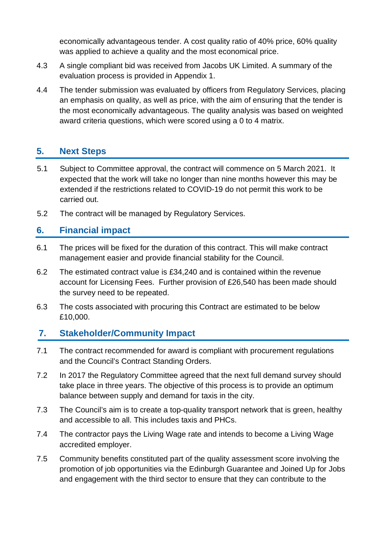economically advantageous tender. A cost quality ratio of 40% price, 60% quality was applied to achieve a quality and the most economical price.

- 4.3 A single compliant bid was received from Jacobs UK Limited. A summary of the evaluation process is provided in Appendix 1.
- 4.4 The tender submission was evaluated by officers from Regulatory Services, placing an emphasis on quality, as well as price, with the aim of ensuring that the tender is the most economically advantageous. The quality analysis was based on weighted award criteria questions, which were scored using a 0 to 4 matrix.

#### **5. Next Steps**

- 5.1 Subject to Committee approval, the contract will commence on 5 March 2021. It expected that the work will take no longer than nine months however this may be extended if the restrictions related to COVID-19 do not permit this work to be carried out.
- 5.2 The contract will be managed by Regulatory Services.

#### **6. Financial impact**

- 6.1 The prices will be fixed for the duration of this contract. This will make contract management easier and provide financial stability for the Council.
- 6.2 The estimated contract value is £34,240 and is contained within the revenue account for Licensing Fees. Further provision of £26,540 has been made should the survey need to be repeated.
- 6.3 The costs associated with procuring this Contract are estimated to be below £10,000.

#### **7. Stakeholder/Community Impact**

- 7.1 The contract recommended for award is compliant with procurement regulations and the Council's Contract Standing Orders.
- 7.2 In 2017 the Regulatory Committee agreed that the next full demand survey should take place in three years. The objective of this process is to provide an optimum balance between supply and demand for taxis in the city.
- 7.3 The Council's aim is to create a top-quality transport network that is green, healthy and accessible to all. This includes taxis and PHCs.
- 7.4 The contractor pays the Living Wage rate and intends to become a Living Wage accredited employer.
- 7.5 Community benefits constituted part of the quality assessment score involving the promotion of job opportunities via the Edinburgh Guarantee and Joined Up for Jobs and engagement with the third sector to ensure that they can contribute to the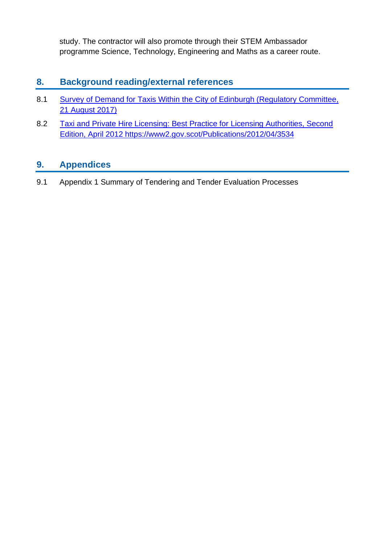study. The contractor will also promote through their STEM Ambassador programme Science, Technology, Engineering and Maths as a career route.

#### **8. Background reading/external references**

- 8.1 Survey of Demand for Taxis Within the City of Edinburgh (Regulatory Committee, [21 August 2017\)](https://democracy.edinburgh.gov.uk/Data/Regulatory%20Committee/20170821/Agenda/$item_63_-_survey_of_demand_for_taxis_within_the_city_of_edinburgh.xls.pdf)
- 8.2 Taxi and Private Hire Licensing: Best Practice for Licensing Authorities, Second Edition, April 2012<https://www2.gov.scot/Publications/2012/04/3534>

#### **9. Appendices**

9.1 Appendix 1 Summary of Tendering and Tender Evaluation Processes